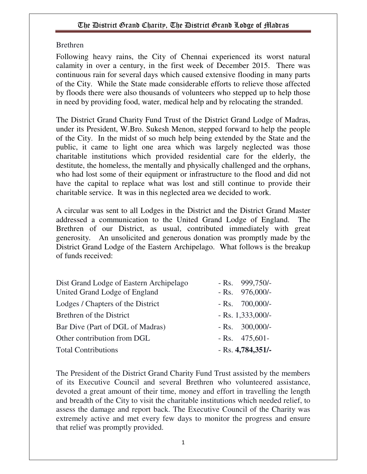#### Brethren

Following heavy rains, the City of Chennai experienced its worst natural calamity in over a century, in the first week of December 2015. There was continuous rain for several days which caused extensive flooding in many parts of the City. While the State made considerable efforts to relieve those affected by floods there were also thousands of volunteers who stepped up to help those in need by providing food, water, medical help and by relocating the stranded.

The District Grand Charity Fund Trust of the District Grand Lodge of Madras, under its President, W.Bro. Sukesh Menon, stepped forward to help the people of the City. In the midst of so much help being extended by the State and the public, it came to light one area which was largely neglected was those charitable institutions which provided residential care for the elderly, the destitute, the homeless, the mentally and physically challenged and the orphans, who had lost some of their equipment or infrastructure to the flood and did not have the capital to replace what was lost and still continue to provide their charitable service. It was in this neglected area we decided to work.

A circular was sent to all Lodges in the District and the District Grand Master addressed a communication to the United Grand Lodge of England. The Brethren of our District, as usual, contributed immediately with great generosity. An unsolicited and generous donation was promptly made by the District Grand Lodge of the Eastern Archipelago. What follows is the breakup of funds received:

| Dist Grand Lodge of Eastern Archipelago<br>United Grand Lodge of England | $-Rs.$ 999,750/-<br>$-Rs.$ 976,000/- |
|--------------------------------------------------------------------------|--------------------------------------|
| Lodges / Chapters of the District                                        | $-Rs. 700,000/$                      |
| Brethren of the District                                                 | $-Rs. 1,333,000/$                    |
| Bar Dive (Part of DGL of Madras)                                         | $-Rs. 300,000/$                      |
| Other contribution from DGL                                              | $-Rs. 475,601-$                      |
| <b>Total Contributions</b>                                               | $-Rs. 4,784,351/$                    |

The President of the District Grand Charity Fund Trust assisted by the members of its Executive Council and several Brethren who volunteered assistance, devoted a great amount of their time, money and effort in travelling the length and breadth of the City to visit the charitable institutions which needed relief, to assess the damage and report back. The Executive Council of the Charity was extremely active and met every few days to monitor the progress and ensure that relief was promptly provided.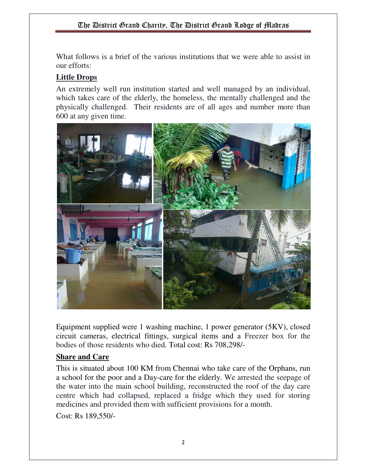What follows is a brief of the various institutions that we were able to assist in our efforts:

### **Little Drops**

An extremely well run institution started and well managed by an individual, which takes care of the elderly, the homeless, the mentally challenged and the physically challenged. Their residents are of all ages and number more than 600 at any given time.



Equipment supplied were 1 washing machine, 1 power generator (5KV), closed circuit cameras, electrical fittings, surgical items and a Freezer box for the bodies of those residents who died. Total cost: Rs 708,298/-

### **Share and Care**

This is situated about 100 KM from Chennai who take care of the Orphans, run a school for the poor and a Day-care for the elderly. We arrested the seepage of the water into the main school building, reconstructed the roof of the day care centre which had collapsed, replaced a fridge which they used for storing medicines and provided them with sufficient provisions for a month. Cost: Rs 189,550/-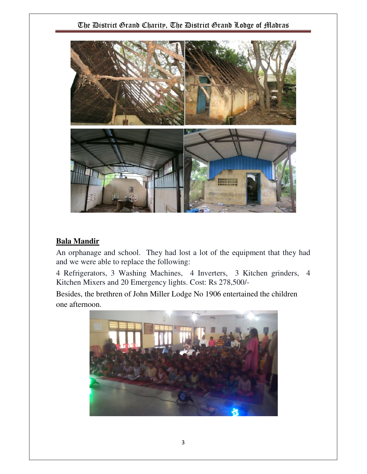

#### **Bala Mandir**

An orphanage and school. They had lost a lot of the equipment that they had and we were able to replace the following:

4 Refrigerators, 3 Washing Machines, 4 Inverters, 3 Kitchen grinders, 4 Kitchen Mixers and 20 Emergency lights. Cost: Rs 278,500/-

Besides, the brethren of John Miller Lodge No 1906 entertained the children one afternoon.

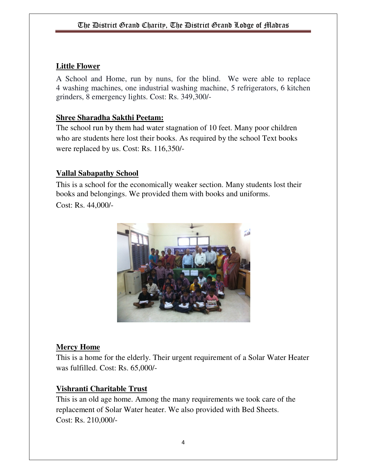#### **Little Flower**

A School and Home, run by nuns, for the blind. We were able to replace 4 washing machines, one industrial washing machine, 5 refrigerators, 6 kitchen grinders, 8 emergency lights. Cost: Rs. 349,300/-

#### **Shree Sharadha Sakthi Peetam:**

The school run by them had water stagnation of 10 feet. Many poor children who are students here lost their books. As required by the school Text books were replaced by us. Cost: Rs. 116,350/-

#### **Vallal Sabapathy School**

This is a school for the economically weaker section. Many students lost their books and belongings. We provided them with books and uniforms.

Cost: Rs. 44,000/-



#### **Mercy Home**

This is a home for the elderly. Their urgent requirement of a Solar Water Heater was fulfilled. Cost: Rs. 65,000/-

#### **Vishranti Charitable Trust**

This is an old age home. Among the many requirements we took care of the replacement of Solar Water heater. We also provided with Bed Sheets. Cost: Rs. 210,000/-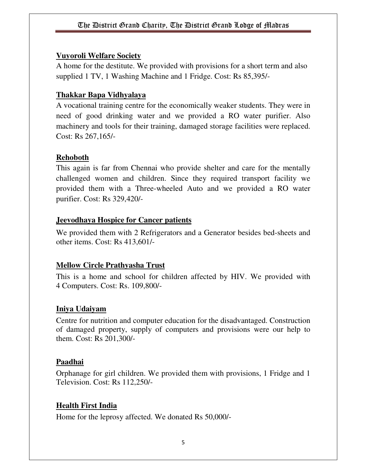#### **Vuyoroli Welfare Society**

A home for the destitute. We provided with provisions for a short term and also supplied 1 TV, 1 Washing Machine and 1 Fridge. Cost: Rs 85,395/-

### **Thakkar Bapa Vidhyalaya**

A vocational training centre for the economically weaker students. They were in need of good drinking water and we provided a RO water purifier. Also machinery and tools for their training, damaged storage facilities were replaced. Cost: Rs 267,165/-

### **Rehoboth**

This again is far from Chennai who provide shelter and care for the mentally challenged women and children. Since they required transport facility we provided them with a Three-wheeled Auto and we provided a RO water purifier. Cost: Rs 329,420/-

### **Jeevodhaya Hospice for Cancer patients**

We provided them with 2 Refrigerators and a Generator besides bed-sheets and other items. Cost: Rs 413,601/-

### **Mellow Circle Prathyasha Trust**

This is a home and school for children affected by HIV. We provided with 4 Computers. Cost: Rs. 109,800/-

### **Iniya Udaiyam**

Centre for nutrition and computer education for the disadvantaged. Construction of damaged property, supply of computers and provisions were our help to them. Cost: Rs 201,300/-

### **Paadhai**

Orphanage for girl children. We provided them with provisions, 1 Fridge and 1 Television. Cost: Rs 112,250/-

### **Health First India**

Home for the leprosy affected. We donated Rs 50,000/-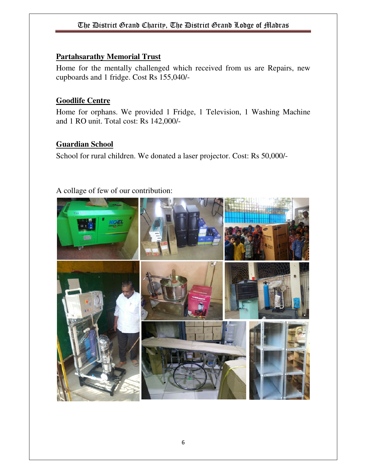#### **Partahsarathy Memorial Trust**

Home for the mentally challenged which received from us are Repairs, new cupboards and 1 fridge. Cost Rs 155,040/-

#### **Goodlife Centre**

Home for orphans. We provided 1 Fridge, 1 Television, 1 Washing Machine and 1 RO unit. Total cost: Rs 142,000/-

### **Guardian School**

School for rural children. We donated a laser projector. Cost: Rs 50,000/-

# A collage of few of our contribution: